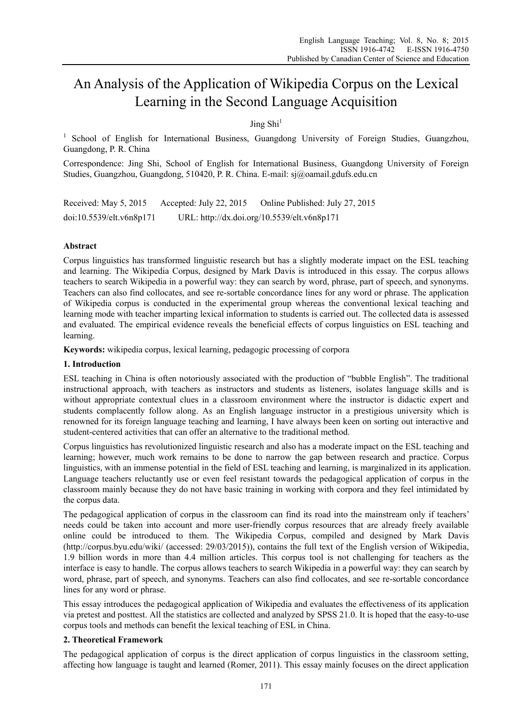# An Analysis of the Application of Wikipedia Corpus on the Lexical Learning in the Second Language Acquisition

# Jing Shi<sup>1</sup>

<sup>1</sup> School of English for International Business, Guangdong University of Foreign Studies, Guangzhou, Guangdong, P. R. China

Correspondence: Jing Shi, School of English for International Business, Guangdong University of Foreign Studies, Guangzhou, Guangdong, 510420, P. R. China. E-mail: sj@oamail.gdufs.edu.cn

Received: May 5, 2015 Accepted: July 22, 2015 Online Published: July 27, 2015 doi:10.5539/elt.v6n8p171 URL: http://dx.doi.org/10.5539/elt.v6n8p171

# **Abstract**

Corpus linguistics has transformed linguistic research but has a slightly moderate impact on the ESL teaching and learning. The Wikipedia Corpus, designed by Mark Davis is introduced in this essay. The corpus allows teachers to search Wikipedia in a powerful way: they can search by word, phrase, part of speech, and synonyms. Teachers can also find collocates, and see re-sortable concordance lines for any word or phrase. The application of Wikipedia corpus is conducted in the experimental group whereas the conventional lexical teaching and learning mode with teacher imparting lexical information to students is carried out. The collected data is assessed and evaluated. The empirical evidence reveals the beneficial effects of corpus linguistics on ESL teaching and learning.

**Keywords:** wikipedia corpus, lexical learning, pedagogic processing of corpora

# **1. Introduction**

ESL teaching in China is often notoriously associated with the production of "bubble English". The traditional instructional approach, with teachers as instructors and students as listeners, isolates language skills and is without appropriate contextual clues in a classroom environment where the instructor is didactic expert and students complacently follow along. As an English language instructor in a prestigious university which is renowned for its foreign language teaching and learning, I have always been keen on sorting out interactive and student-centered activities that can offer an alternative to the traditional method.

Corpus linguistics has revolutionized linguistic research and also has a moderate impact on the ESL teaching and learning; however, much work remains to be done to narrow the gap between research and practice. Corpus linguistics, with an immense potential in the field of ESL teaching and learning, is marginalized in its application. Language teachers reluctantly use or even feel resistant towards the pedagogical application of corpus in the classroom mainly because they do not have basic training in working with corpora and they feel intimidated by the corpus data.

The pedagogical application of corpus in the classroom can find its road into the mainstream only if teachers' needs could be taken into account and more user-friendly corpus resources that are already freely available online could be introduced to them. The Wikipedia Corpus, compiled and designed by Mark Davis (http://corpus.byu.edu/wiki/ (accessed: 29/03/2015)), contains the full text of the English version of Wikipedia, 1.9 billion words in more than 4.4 million articles. This corpus tool is not challenging for teachers as the interface is easy to handle. The corpus allows teachers to search Wikipedia in a powerful way: they can search by word, phrase, part of speech, and synonyms. Teachers can also find collocates, and see re-sortable concordance lines for any word or phrase.

This essay introduces the pedagogical application of Wikipedia and evaluates the effectiveness of its application via pretest and posttest. All the statistics are collected and analyzed by SPSS 21.0. It is hoped that the easy-to-use corpus tools and methods can benefit the lexical teaching of ESL in China.

# **2. Theoretical Framework**

The pedagogical application of corpus is the direct application of corpus linguistics in the classroom setting, affecting how language is taught and learned (Romer, 2011). This essay mainly focuses on the direct application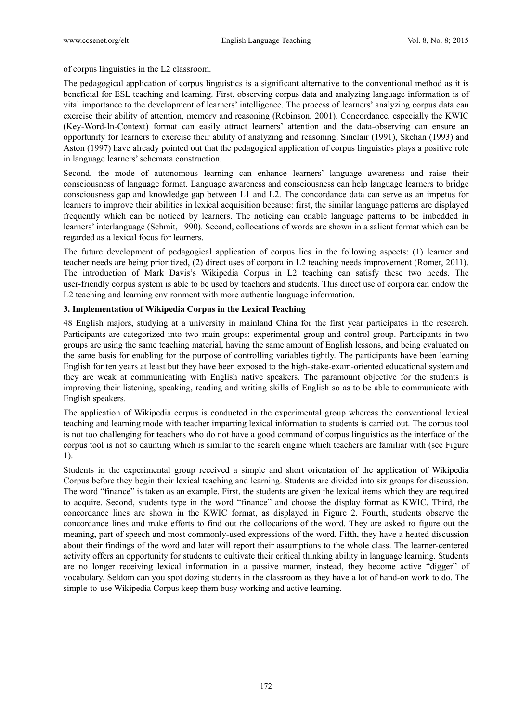of corpus linguistics in the L2 classroom.

The pedagogical application of corpus linguistics is a significant alternative to the conventional method as it is beneficial for ESL teaching and learning. First, observing corpus data and analyzing language information is of vital importance to the development of learners' intelligence. The process of learners' analyzing corpus data can exercise their ability of attention, memory and reasoning (Robinson, 2001). Concordance, especially the KWIC (Key-Word-In-Context) format can easily attract learners' attention and the data-observing can ensure an opportunity for learners to exercise their ability of analyzing and reasoning. Sinclair (1991), Skehan (1993) and Aston (1997) have already pointed out that the pedagogical application of corpus linguistics plays a positive role in language learners' schemata construction.

Second, the mode of autonomous learning can enhance learners' language awareness and raise their consciousness of language format. Language awareness and consciousness can help language learners to bridge consciousness gap and knowledge gap between L1 and L2. The concordance data can serve as an impetus for learners to improve their abilities in lexical acquisition because: first, the similar language patterns are displayed frequently which can be noticed by learners. The noticing can enable language patterns to be imbedded in learners' interlanguage (Schmit, 1990). Second, collocations of words are shown in a salient format which can be regarded as a lexical focus for learners.

The future development of pedagogical application of corpus lies in the following aspects: (1) learner and teacher needs are being prioritized, (2) direct uses of corpora in L2 teaching needs improvement (Romer, 2011). The introduction of Mark Davis's Wikipedia Corpus in L2 teaching can satisfy these two needs. The user-friendly corpus system is able to be used by teachers and students. This direct use of corpora can endow the L2 teaching and learning environment with more authentic language information.

# **3. Implementation of Wikipedia Corpus in the Lexical Teaching**

48 English majors, studying at a university in mainland China for the first year participates in the research. Participants are categorized into two main groups: experimental group and control group. Participants in two groups are using the same teaching material, having the same amount of English lessons, and being evaluated on the same basis for enabling for the purpose of controlling variables tightly. The participants have been learning English for ten years at least but they have been exposed to the high-stake-exam-oriented educational system and they are weak at communicating with English native speakers. The paramount objective for the students is improving their listening, speaking, reading and writing skills of English so as to be able to communicate with English speakers.

The application of Wikipedia corpus is conducted in the experimental group whereas the conventional lexical teaching and learning mode with teacher imparting lexical information to students is carried out. The corpus tool is not too challenging for teachers who do not have a good command of corpus linguistics as the interface of the corpus tool is not so daunting which is similar to the search engine which teachers are familiar with (see Figure 1).

Students in the experimental group received a simple and short orientation of the application of Wikipedia Corpus before they begin their lexical teaching and learning. Students are divided into six groups for discussion. The word "finance" is taken as an example. First, the students are given the lexical items which they are required to acquire. Second, students type in the word "finance" and choose the display format as KWIC. Third, the concordance lines are shown in the KWIC format, as displayed in Figure 2. Fourth, students observe the concordance lines and make efforts to find out the collocations of the word. They are asked to figure out the meaning, part of speech and most commonly-used expressions of the word. Fifth, they have a heated discussion about their findings of the word and later will report their assumptions to the whole class. The learner-centered activity offers an opportunity for students to cultivate their critical thinking ability in language learning. Students are no longer receiving lexical information in a passive manner, instead, they become active "digger" of vocabulary. Seldom can you spot dozing students in the classroom as they have a lot of hand-on work to do. The simple-to-use Wikipedia Corpus keep them busy working and active learning.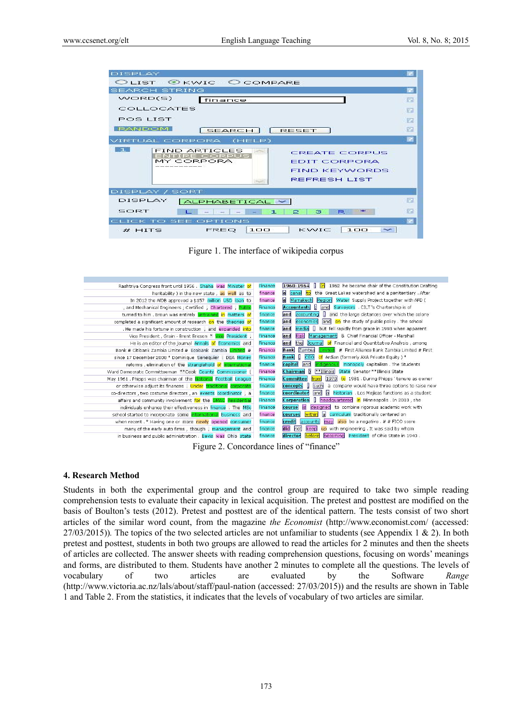| <b>DISPLAY</b>                                                                                                                                                                           | z |
|------------------------------------------------------------------------------------------------------------------------------------------------------------------------------------------|---|
| OLIST OKWIC OCOMPARE                                                                                                                                                                     |   |
| <b>SEARCH STRING</b>                                                                                                                                                                     | 屠 |
| WORD(S)<br>finance                                                                                                                                                                       | 客 |
| COLLOCATES                                                                                                                                                                               | R |
| POS LIST                                                                                                                                                                                 | ₽ |
| <b>RANDOM</b><br>SEARCH RESET                                                                                                                                                            | n |
| VIRTUAL CORPORA (HELP)                                                                                                                                                                   | ਵ |
| $\mathbf{1}$<br><b>FIND ARTICLES</b><br><b>CREATE CORPUS</b><br><b>ENTIRE CORPUS</b><br>MY CORPORA<br><b>EDIT CORPORA</b><br><b>FIND KEYWORDS</b><br><b>REFRESH LIST</b><br>The Children |   |
| DISPLAY / SORT                                                                                                                                                                           |   |
| <b>DISPLAY</b><br>ALPHABETICAL Y                                                                                                                                                         | R |
| SORT<br>$2 + 4$<br>$\mathbf{1}$<br>$\mathbf{I}$<br>2<br>э<br>R                                                                                                                           | R |
| CLICK TO SEE OPTIONS                                                                                                                                                                     | z |
| 100<br>KWIC<br>100<br><b>FREQ</b><br># HITS                                                                                                                                              |   |

Figure 1. The interface of wikipedia corpus

| Rashtriya Congress front until 1956, Shaha was Minister of     | Finance | 1962 he became chair of the Constitution Drafting<br>1960-1964                        |
|----------------------------------------------------------------|---------|---------------------------------------------------------------------------------------|
| heritability ) in the new state, as well as to                 | finance | $\overline{a}$<br>the Great Lakes watershed and a penitentiary . After<br>to<br>canal |
| In 2012 the AfDB approved a \$157 million USD loan to          | finance | a <br>Marrakech<br>Water Supply Project together with AFD (<br>Region                 |
| , and Mechanical Engineers ; Certified , Chartered , Public    | Finance | <b>Accountants</b><br>Surveyors . CILT 's Chartership is of<br>land                   |
| turned to him. Broun was entirely untrained in matters of      | finance | and<br>and the large distances over which the colony<br>laccounting                   |
| completed a significant amount of research on the theories of  | finance | on the study of public policy. The school<br>land<br>leconomics<br>land               |
| . He made his fortune in construction , and expanded into      | finance | and<br>but fell rapidly from grace in 1998 when apparent<br>media                     |
| Vice President, Grain - Brent Ericson * Vice President         | Finance | and<br><b>Risk</b><br>Management & Chief Financial Officer - Marshall                 |
| He is an editor of the journal Annals of Economics and         | Finance | the<br>and<br>of Financial and Quantitative Analysis, among<br>Journal                |
| Bank # Citibank Zambia Limited # Ecobank Zambia Limited #      | Finance | <b>Bank</b><br># First Alliance Bank Zambia Limited # First<br>Zambia<br>.imitedl     |
| since 17 December 2008 * Dominique Senequier : DEA Money       | Finance | <b>Bank</b><br>Iceol<br>of Ardian (formerly AXA Private Equity)*                      |
| reforms, elimination of the stranglehold of international      | finance | capital<br>monopoly capitalism. The Students<br>indiaenous<br>land                    |
| Ward Democratic Committeeman ** Cook County Commissioner (     | Finance | Chairman<br>**Illinois<br>State Senator **Illinois State                              |
| May 1961 . Phipps was chairman of the National Football League | Finance | <b>Committee</b><br>to 1981 . During Phipps ' tenure as owner<br>1970<br>trom         |
| or otherwise adjust its finances . Under traditional corporate | finance | a company would have three options to raise new<br>concepts<br>such                   |
| co-directors, two costume directors, an events coordinator, a  | finance | coordinator<br>lal<br>historian . Los Mejicas functions as a student<br>land          |
| affairs and community involvement for the GMAC Residential     | Finance | Corporation<br>headquartered in Minneapolis, In 2010, she                             |
| individuals enhance their effectiveness in finance. The MSc    | Finance | <b>is</b><br>to combine rigorous academic work with<br>course<br>designed             |
| school started to incorporate some international business and  | finance | lal.<br>curriculum traditionally centered on<br><b>courses</b><br>within              |
| when recent. * Having one or more newly opened consumer        | finance | credit<br>also be a negative . # # FICO score<br>laccounts<br>may                     |
| many of the early auto firms, though, management and           | finance | did<br>with engineering. It was said by whom<br>keep<br>Inot<br><b>un</b>             |
| in business and public administration. Bevis was Ohio state    | finance | director<br>becoming President of Ohio State in 1940.<br>before                       |
|                                                                |         |                                                                                       |

Figure 2. Concordance lines of "finance"

# **4. Research Method**

Students in both the experimental group and the control group are required to take two simple reading comprehension tests to evaluate their capacity in lexical acquisition. The pretest and posttest are modified on the basis of Boulton's tests (2012). Pretest and posttest are of the identical pattern. The tests consist of two short articles of the similar word count, from the magazine *the Economist* (http://www.economist.com/ (accessed: 27/03/2015))*.* The topics of the two selected articles are not unfamiliar to students (see Appendix 1 & 2). In both pretest and posttest, students in both two groups are allowed to read the articles for 2 minutes and then the sheets of articles are collected. The answer sheets with reading comprehension questions, focusing on words' meanings and forms, are distributed to them. Students have another 2 minutes to complete all the questions. The levels of vocabulary of two articles are evaluated by the Software *Range*  (http://www.victoria.ac.nz/lals/about/staff/paul-nation (accessed: 27/03/2015)) and the results are shown in Table 1 and Table 2. From the statistics, it indicates that the levels of vocabulary of two articles are similar.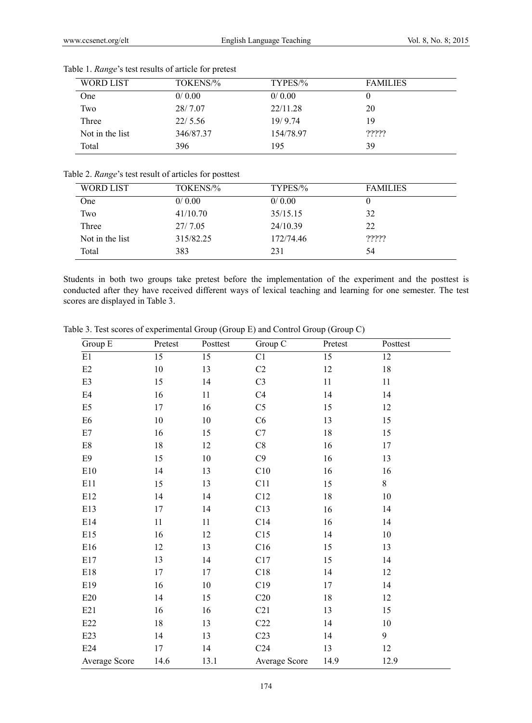| <b>WORD LIST</b> | TOKENS/%  | TYPES/%   | <b>FAMILIES</b> |
|------------------|-----------|-----------|-----------------|
| One              | 0/0.00    | 0/0.00    |                 |
| Two              | 28/7.07   | 22/11.28  | 20              |
| Three            | 22/5.56   | 19/9.74   | 19              |
| Not in the list  | 346/87.37 | 154/78.97 | ?????           |
| Total            | 396       | 195       | 39              |

Table 1. *Range*'s test results of article for pretest

Table 2. *Range*'s test result of articles for posttest

| <b>WORD LIST</b> | TOKENS/%  | TYPES/%   | <b>FAMILIES</b> |
|------------------|-----------|-----------|-----------------|
| One              | 0/0.00    | 0/0.00    |                 |
| Two              | 41/10.70  | 35/15.15  | 32              |
| Three            | 27/7.05   | 24/10.39  | 22              |
| Not in the list  | 315/82.25 | 172/74.46 | ?????           |
| Total            | 383       | 231       | 54              |

Students in both two groups take pretest before the implementation of the experiment and the posttest is conducted after they have received different ways of lexical teaching and learning for one semester. The test scores are displayed in Table 3.

| Group E         | Pretest         | Posttest        | Group C         | Pretest | Posttest        |
|-----------------|-----------------|-----------------|-----------------|---------|-----------------|
| $\overline{E1}$ | $\overline{15}$ | $\overline{15}$ | $\overline{C}$  | 15      | $\overline{12}$ |
| $\rm E2$        | $10\,$          | 13              | C2              | 12      | $18\,$          |
| E3              | 15              | 14              | C <sub>3</sub>  | 11      | 11              |
| E4              | 16              | 11              | C4              | 14      | 14              |
| E <sub>5</sub>  | 17              | 16              | C <sub>5</sub>  | 15      | 12              |
| ${\rm E6}$      | $10\,$          | $10\,$          | C6              | 13      | 15              |
| $\rm E7$        | 16              | 15              | C7              | 18      | 15              |
| $\rm E8$        | 18              | 12              | $\mbox{C}8$     | 16      | 17              |
| E9              | 15              | 10              | C9              | 16      | 13              |
| E10             | 14              | 13              | C10             | 16      | 16              |
| E11             | 15              | 13              | C11             | 15      | 8               |
| E12             | 14              | 14              | C12             | $18\,$  | 10              |
| E13             | 17              | 14              | C13             | 16      | 14              |
| E14             | 11              | 11              | C14             | 16      | 14              |
| E15             | 16              | 12              | C15             | 14      | 10              |
| E16             | 12              | 13              | C16             | 15      | 13              |
| E17             | 13              | 14              | C17             | 15      | 14              |
| $E18$           | 17              | 17              | C18             | 14      | 12              |
| E19             | 16              | $10\,$          | C19             | 17      | 14              |
| E20             | 14              | 15              | C20             | 18      | 12              |
| E21             | 16              | 16              | C21             | 13      | 15              |
| E22             | $18\,$          | 13              | C22             | 14      | 10              |
| E23             | 14              | 13              | C <sub>23</sub> | 14      | 9               |
| E24             | 17              | 14              | C <sub>24</sub> | 13      | $12\,$          |
| Average Score   | 14.6            | 13.1            | Average Score   | 14.9    | 12.9            |

Table 3. Test scores of experimental Group (Group E) and Control Group (Group C)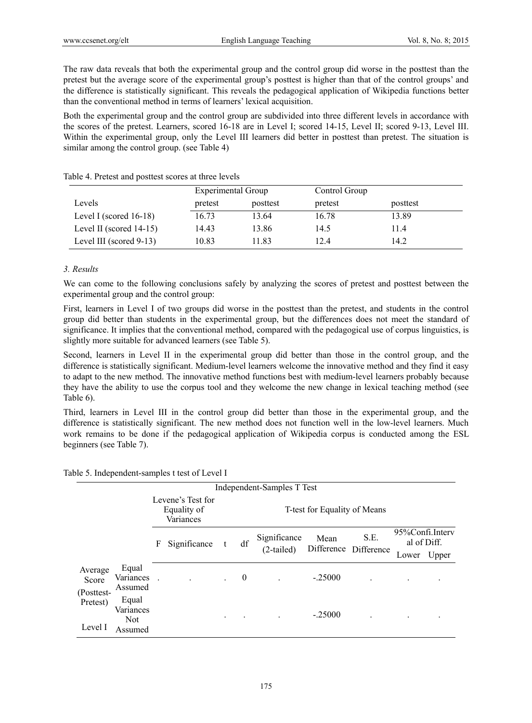The raw data reveals that both the experimental group and the control group did worse in the posttest than the pretest but the average score of the experimental group's posttest is higher than that of the control groups' and the difference is statistically significant. This reveals the pedagogical application of Wikipedia functions better than the conventional method in terms of learners' lexical acquisition.

Both the experimental group and the control group are subdivided into three different levels in accordance with the scores of the pretest. Learners, scored 16-18 are in Level I; scored 14-15, Level II; scored 9-13, Level III. Within the experimental group, only the Level III learners did better in posttest than pretest. The situation is similar among the control group. (see Table 4)

|                            | <b>Experimental Group</b> |          | Control Group |          |
|----------------------------|---------------------------|----------|---------------|----------|
| Levels                     | pretest                   | posttest | pretest       | posttest |
| Level I (scored $16-18$ )  | 16.73                     | 13.64    | 16.78         | 13.89    |
| Level II (scored $14-15$ ) | 14.43                     | 13.86    | 14.5          | 11.4     |
| Level III (scored 9-13)    | 10.83                     | 11.83    | 12.4          | 14.2     |

#### Table 4. Pretest and posttest scores at three levels

# *3. Results*

We can come to the following conclusions safely by analyzing the scores of pretest and posttest between the experimental group and the control group:

First, learners in Level I of two groups did worse in the posttest than the pretest, and students in the control group did better than students in the experimental group, but the differences does not meet the standard of significance. It implies that the conventional method, compared with the pedagogical use of corpus linguistics, is slightly more suitable for advanced learners (see Table 5).

Second, learners in Level II in the experimental group did better than those in the control group, and the difference is statistically significant. Medium-level learners welcome the innovative method and they find it easy to adapt to the new method. The innovative method functions best with medium-level learners probably because they have the ability to use the corpus tool and they welcome the new change in lexical teaching method (see Table 6).

Third, learners in Level III in the control group did better than those in the experimental group, and the difference is statistically significant. The new method does not function well in the low-level learners. Much work remains to be done if the pedagogical application of Wikipedia corpus is conducted among the ESL beginners (see Table 7).

Table 5. Independent-samples t test of Level I

|                                |                                             |                                               |              |  |                | Independent-Samples T Test   |                              |                               |       |                                |
|--------------------------------|---------------------------------------------|-----------------------------------------------|--------------|--|----------------|------------------------------|------------------------------|-------------------------------|-------|--------------------------------|
|                                |                                             | Levene's Test for<br>Equality of<br>Variances |              |  |                |                              | T-test for Equality of Means |                               |       |                                |
|                                |                                             | F                                             | Significance |  | df             | Significance<br>$(2-tailed)$ | Mean                         | S.E.<br>Difference Difference |       | 95%Confi.Interv<br>al of Diff. |
|                                |                                             |                                               |              |  |                |                              |                              |                               | Lower | Upper                          |
| Average<br>Score<br>(Posttest- | Equal<br>Variances<br>Assumed               |                                               |              |  | $\overline{0}$ |                              | $-.25000$                    |                               |       |                                |
| Pretest)<br>Level I            | Equal<br>Variances<br><b>Not</b><br>Assumed |                                               |              |  |                |                              | $-.25000$                    |                               |       |                                |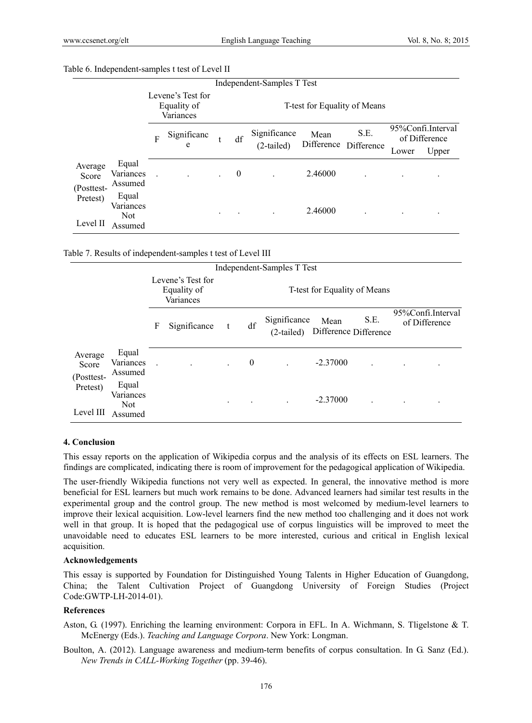#### Table 6. Independent-samples t test of Level II

|                                |                                             |   |                                               |                          |          | Independent-Samples T Test   |                              |                      |       |                                             |
|--------------------------------|---------------------------------------------|---|-----------------------------------------------|--------------------------|----------|------------------------------|------------------------------|----------------------|-------|---------------------------------------------|
|                                |                                             |   | Levene's Test for<br>Equality of<br>Variances |                          |          |                              | T-test for Equality of Means |                      |       |                                             |
|                                |                                             | F | Significanc<br>e                              |                          | df       | Significance<br>$(2-tailed)$ | Mean<br>Difference           | S.E.<br>Difference   | Lower | 95%Confi.Interval<br>of Difference<br>Upper |
| Average<br>Score<br>(Posttest- | Equal<br>Variances<br>Assumed               |   |                                               |                          | $\theta$ |                              | 2.46000                      |                      |       |                                             |
| Pretest)<br>Level II           | Equal<br>Variances<br><b>Not</b><br>Assumed |   |                                               | $\overline{\phantom{a}}$ |          |                              | 2.46000                      | $\ddot{\phantom{0}}$ |       |                                             |

Table 7. Results of independent-samples t test of Level III

|                                |                                             |   |                                               |   |                  | Independent-Samples T Test   |            |                               |                                    |
|--------------------------------|---------------------------------------------|---|-----------------------------------------------|---|------------------|------------------------------|------------|-------------------------------|------------------------------------|
|                                |                                             |   | Levene's Test for<br>Equality of<br>Variances |   |                  |                              |            | T-test for Equality of Means  |                                    |
|                                |                                             | F | Significance                                  | t | df               | Significance<br>$(2-tailed)$ | Mean       | S.E.<br>Difference Difference | 95%Confi.Interval<br>of Difference |
| Average<br>Score<br>(Posttest- | Equal<br>Variances<br>Assumed               |   |                                               |   | $\boldsymbol{0}$ |                              | $-2.37000$ |                               |                                    |
| Pretest)<br>Level III          | Equal<br>Variances<br><b>Not</b><br>Assumed |   |                                               |   |                  |                              | $-2.37000$ |                               |                                    |

#### **4. Conclusion**

This essay reports on the application of Wikipedia corpus and the analysis of its effects on ESL learners. The findings are complicated, indicating there is room of improvement for the pedagogical application of Wikipedia.

The user-friendly Wikipedia functions not very well as expected. In general, the innovative method is more beneficial for ESL learners but much work remains to be done. Advanced learners had similar test results in the experimental group and the control group. The new method is most welcomed by medium-level learners to improve their lexical acquisition. Low-level learners find the new method too challenging and it does not work well in that group. It is hoped that the pedagogical use of corpus linguistics will be improved to meet the unavoidable need to educates ESL learners to be more interested, curious and critical in English lexical acquisition.

# **Acknowledgements**

This essay is supported by Foundation for Distinguished Young Talents in Higher Education of Guangdong, China; the Talent Cultivation Project of Guangdong University of Foreign Studies (Project Code:GWTP-LH-2014-01).

# **References**

Aston, G. (1997). Enriching the learning environment: Corpora in EFL. In A. Wichmann, S. Tligelstone & T. McEnergy (Eds.). *Teaching and Language Corpora*. New York: Longman.

Boulton, A. (2012). Language awareness and medium-term benefits of corpus consultation. In G. Sanz (Ed.). *New Trends in CALL-Working Together* (pp. 39-46).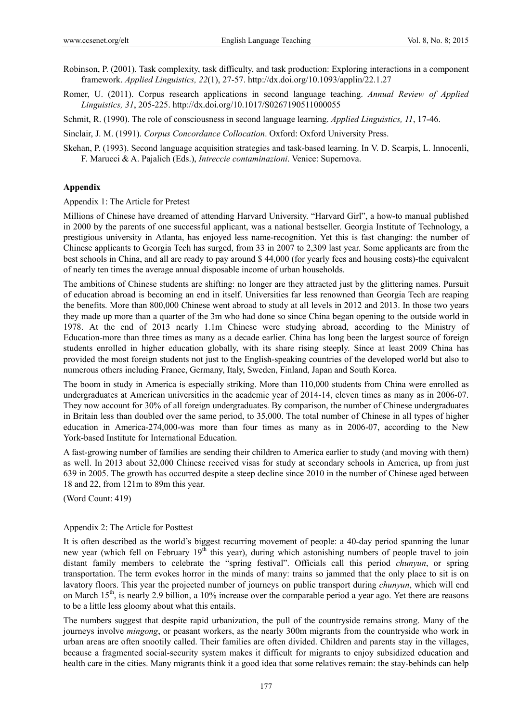- Robinson, P. (2001). Task complexity, task difficulty, and task production: Exploring interactions in a component framework. *Applied Linguistics, 22*(1), 27-57. http://dx.doi.org/10.1093/applin/22.1.27
- Romer, U. (2011). Corpus research applications in second language teaching. *Annual Review of Applied Linguistics, 31*, 205-225. http://dx.doi.org/10.1017/S0267190511000055

Schmit, R. (1990). The role of consciousness in second language learning. *Applied Linguistics, 11*, 17-46.

Sinclair, J. M. (1991). *Corpus Concordance Collocation*. Oxford: Oxford University Press.

Skehan, P. (1993). Second language acquisition strategies and task-based learning. In V. D. Scarpis, L. Innocenli, F. Marucci & A. Pajalich (Eds.), *Intreccie contaminazioni*. Venice: Supernova.

#### **Appendix**

Appendix 1: The Article for Pretest

Millions of Chinese have dreamed of attending Harvard University. "Harvard Girl", a how-to manual published in 2000 by the parents of one successful applicant, was a national bestseller. Georgia Institute of Technology, a prestigious university in Atlanta, has enjoyed less name-recognition. Yet this is fast changing: the number of Chinese applicants to Georgia Tech has surged, from 33 in 2007 to 2,309 last year. Some applicants are from the best schools in China, and all are ready to pay around \$ 44,000 (for yearly fees and housing costs)-the equivalent of nearly ten times the average annual disposable income of urban households.

The ambitions of Chinese students are shifting: no longer are they attracted just by the glittering names. Pursuit of education abroad is becoming an end in itself. Universities far less renowned than Georgia Tech are reaping the benefits. More than 800,000 Chinese went abroad to study at all levels in 2012 and 2013. In those two years they made up more than a quarter of the 3m who had done so since China began opening to the outside world in 1978. At the end of 2013 nearly 1.1m Chinese were studying abroad, according to the Ministry of Education-more than three times as many as a decade earlier. China has long been the largest source of foreign students enrolled in higher education globally, with its share rising steeply. Since at least 2009 China has provided the most foreign students not just to the English-speaking countries of the developed world but also to numerous others including France, Germany, Italy, Sweden, Finland, Japan and South Korea.

The boom in study in America is especially striking. More than 110,000 students from China were enrolled as undergraduates at American universities in the academic year of 2014-14, eleven times as many as in 2006-07. They now account for 30% of all foreign undergraduates. By comparison, the number of Chinese undergraduates in Britain less than doubled over the same period, to 35,000. The total number of Chinese in all types of higher education in America-274,000-was more than four times as many as in 2006-07, according to the New York-based Institute for International Education.

A fast-growing number of families are sending their children to America earlier to study (and moving with them) as well. In 2013 about 32,000 Chinese received visas for study at secondary schools in America, up from just 639 in 2005. The growth has occurred despite a steep decline since 2010 in the number of Chinese aged between 18 and 22, from 121m to 89m this year.

(Word Count: 419)

#### Appendix 2: The Article for Posttest

It is often described as the world's biggest recurring movement of people: a 40-day period spanning the lunar new year (which fell on February  $19<sup>th</sup>$  this year), during which astonishing numbers of people travel to join distant family members to celebrate the "spring festival". Officials call this period *chunyun*, or spring transportation. The term evokes horror in the minds of many: trains so jammed that the only place to sit is on lavatory floors. This year the projected number of journeys on public transport during *chunyun*, which will end on March  $15<sup>th</sup>$ , is nearly 2.9 billion, a 10% increase over the comparable period a year ago. Yet there are reasons to be a little less gloomy about what this entails.

The numbers suggest that despite rapid urbanization, the pull of the countryside remains strong. Many of the journeys involve *mingong*, or peasant workers, as the nearly 300m migrants from the countryside who work in urban areas are often snootily called. Their families are often divided. Children and parents stay in the villages, because a fragmented social-security system makes it difficult for migrants to enjoy subsidized education and health care in the cities. Many migrants think it a good idea that some relatives remain: the stay-behinds can help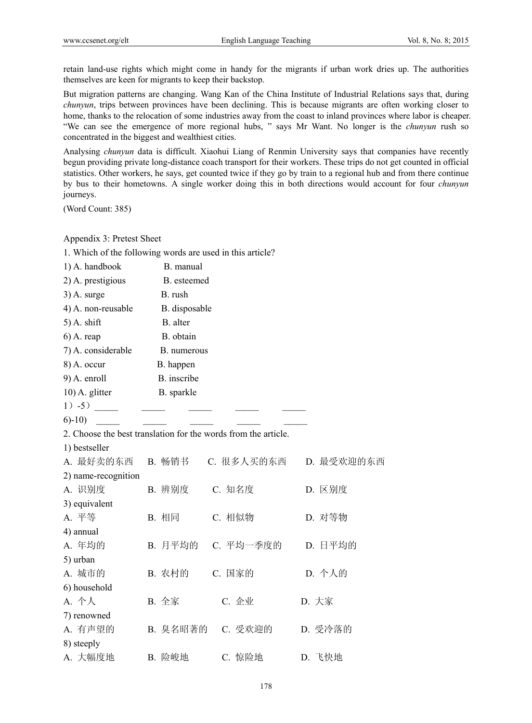retain land-use rights which might come in handy for the migrants if urban work dries up. The authorities themselves are keen for migrants to keep their backstop.

But migration patterns are changing. Wang Kan of the China Institute of Industrial Relations says that, during *chunyun*, trips between provinces have been declining. This is because migrants are often working closer to home, thanks to the relocation of some industries away from the coast to inland provinces where labor is cheaper. "We can see the emergence of more regional hubs, " says Mr Want. No longer is the *chunyun* rush so concentrated in the biggest and wealthiest cities.

Analysing *chunyun* data is difficult. Xiaohui Liang of Renmin University says that companies have recently begun providing private long-distance coach transport for their workers. These trips do not get counted in official statistics. Other workers, he says, get counted twice if they go by train to a regional hub and from there continue by bus to their hometowns. A single worker doing this in both directions would account for four *chunyun* journeys.

(Word Count: 385)

Appendix 3: Pretest Sheet

|  |  |  |  |  |  | 1. Which of the following words are used in this article? |
|--|--|--|--|--|--|-----------------------------------------------------------|
|--|--|--|--|--|--|-----------------------------------------------------------|

| 1) A. handbook     | B. manual     |
|--------------------|---------------|
| 2) A. prestigious  | B. esteemed   |
| $3)$ A. surge      | B. rush       |
| 4) A. non-reusable | B. disposable |
| $5)$ A. shift      | B. alter      |
| $(6)$ A. reap      | B. obtain     |
| 7) A. considerable | B. numerous   |
| 8) A. occur        | B. happen     |
| $9$ ) A. enroll    | B. inscribe   |
| 10) A. glitter     | B. sparkle    |
|                    |               |

 $1) -5)$ 

1) bestseller

2. Choose the best translation for the words from the article.

 $6) - 10$ )

| A. 最好卖的东西           | B. 畅销书       | C. 很多人买的东西 | D. 最受欢迎的东西 |
|---------------------|--------------|------------|------------|
| 2) name-recognition |              |            |            |
| A. 识别度              | B. 辨别度       | C. 知名度     | D. 区别度     |
| 3) equivalent       |              |            |            |
| A. 平等               | B. 相同        | C. 相似物     | D. 对等物     |
| 4) annual           |              |            |            |
| A. 年均的              | B. 月平均的      | C. 平均一季度的  | D. 日平均的    |
| 5) urban            |              |            |            |
| A. 城市的              | B. 农村的       | C. 国家的     | D. 个人的     |
| 6) household        |              |            |            |
| A. 个人               | <b>B.</b> 全家 | C. 企业      | D. 大家      |
| 7) renowned         |              |            |            |
| A. 有声望的             | B. 臭名昭著的     | C. 受欢迎的    | D. 受冷落的    |
| 8) steeply          |              |            |            |
| A. 大幅度地             | B. 险峻地       | C. 惊险地     | D. 飞快地     |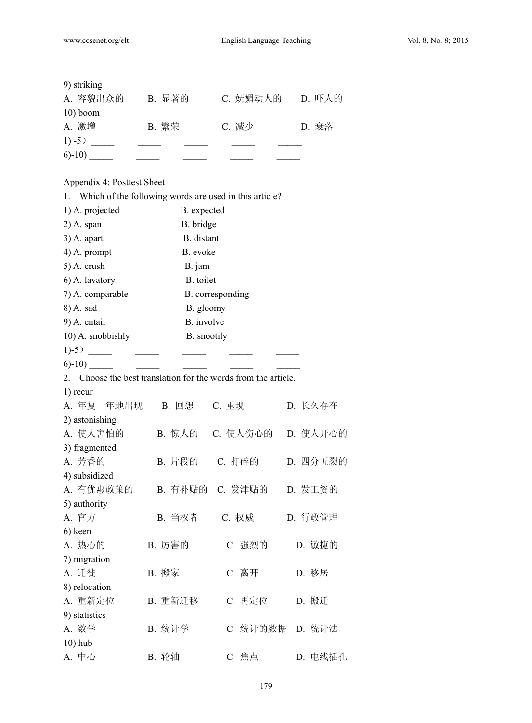| 9) striking |              |          |        |
|-------------|--------------|----------|--------|
| A. 容貌出众的    | B. 显著的       | C. 妩媚动人的 | D. 吓人的 |
| $10)$ boom  |              |          |        |
| A. 激增       | <b>B. 繁荣</b> | C. 减少    | D. 衰落  |
| $1) - 5)$   |              |          |        |
| $6) - 10$   |              |          |        |

# Appendix 4: Posttest Sheet

|                   |                                                                                                                                                                                                                                                                                                                                                                                                                                                                                             | 1. Which of the following words are used in this article?      |          |
|-------------------|---------------------------------------------------------------------------------------------------------------------------------------------------------------------------------------------------------------------------------------------------------------------------------------------------------------------------------------------------------------------------------------------------------------------------------------------------------------------------------------------|----------------------------------------------------------------|----------|
| 1) A. projected   |                                                                                                                                                                                                                                                                                                                                                                                                                                                                                             | B. expected                                                    |          |
| $2)$ A. span      | B. bridge                                                                                                                                                                                                                                                                                                                                                                                                                                                                                   |                                                                |          |
| $3)$ A. apart     | B. distant                                                                                                                                                                                                                                                                                                                                                                                                                                                                                  |                                                                |          |
| 4) A. prompt      | B. evoke                                                                                                                                                                                                                                                                                                                                                                                                                                                                                    |                                                                |          |
| 5) A. crush       | B. jam                                                                                                                                                                                                                                                                                                                                                                                                                                                                                      |                                                                |          |
| 6) A. lavatory    | B. toilet                                                                                                                                                                                                                                                                                                                                                                                                                                                                                   |                                                                |          |
| 7) A. comparable  |                                                                                                                                                                                                                                                                                                                                                                                                                                                                                             | B. corresponding                                               |          |
| 8) A. sad         |                                                                                                                                                                                                                                                                                                                                                                                                                                                                                             | B. gloomy                                                      |          |
| 9) A. entail      |                                                                                                                                                                                                                                                                                                                                                                                                                                                                                             | B. involve                                                     |          |
| 10) A. snobbishly |                                                                                                                                                                                                                                                                                                                                                                                                                                                                                             | B. snootily                                                    |          |
|                   | $\frac{1}{2}$<br>$\frac{1}{2} \left( \frac{1}{2} \right) \left( \frac{1}{2} \right) \left( \frac{1}{2} \right) \left( \frac{1}{2} \right) \left( \frac{1}{2} \right) \left( \frac{1}{2} \right) \left( \frac{1}{2} \right) \left( \frac{1}{2} \right) \left( \frac{1}{2} \right) \left( \frac{1}{2} \right) \left( \frac{1}{2} \right) \left( \frac{1}{2} \right) \left( \frac{1}{2} \right) \left( \frac{1}{2} \right) \left( \frac{1}{2} \right) \left( \frac{1}{2} \right) \left( \frac$ |                                                                |          |
| $6) - 10$         |                                                                                                                                                                                                                                                                                                                                                                                                                                                                                             |                                                                |          |
|                   |                                                                                                                                                                                                                                                                                                                                                                                                                                                                                             | 2. Choose the best translation for the words from the article. |          |
| 1) recur          |                                                                                                                                                                                                                                                                                                                                                                                                                                                                                             |                                                                |          |
| A. 年复一年地出现        | B. 回想                                                                                                                                                                                                                                                                                                                                                                                                                                                                                       | C. 重现                                                          | D. 长久存在  |
| 2) astonishing    |                                                                                                                                                                                                                                                                                                                                                                                                                                                                                             |                                                                |          |
| A. 使人害怕的          | B. 惊人的                                                                                                                                                                                                                                                                                                                                                                                                                                                                                      | C. 使人伤心的                                                       | D. 使人开心的 |
| 3) fragmented     |                                                                                                                                                                                                                                                                                                                                                                                                                                                                                             |                                                                |          |
| A. 芳香的            | B. 片段的                                                                                                                                                                                                                                                                                                                                                                                                                                                                                      | C. 打碎的                                                         | D. 四分五裂的 |
| 4) subsidized     |                                                                                                                                                                                                                                                                                                                                                                                                                                                                                             |                                                                |          |
| A. 有优惠政策的         |                                                                                                                                                                                                                                                                                                                                                                                                                                                                                             | B. 有补贴的 C. 发津贴的                                                | D. 发工资的  |
| 5) authority      |                                                                                                                                                                                                                                                                                                                                                                                                                                                                                             |                                                                |          |
| A. 官方             | B. 当权者                                                                                                                                                                                                                                                                                                                                                                                                                                                                                      | C. 权威                                                          | D. 行政管理  |
| 6) keen           |                                                                                                                                                                                                                                                                                                                                                                                                                                                                                             |                                                                |          |
| A. 热心的            | B. 厉害的                                                                                                                                                                                                                                                                                                                                                                                                                                                                                      | C. 强烈的                                                         | D. 敏捷的   |
| 7) migration      |                                                                                                                                                                                                                                                                                                                                                                                                                                                                                             |                                                                |          |
| A. 迁徙             | <b>B. 搬家</b>                                                                                                                                                                                                                                                                                                                                                                                                                                                                                | C. 离开                                                          | D. 移居    |
| 8) relocation     |                                                                                                                                                                                                                                                                                                                                                                                                                                                                                             |                                                                |          |
| A. 重新定位           | B. 重新迁移                                                                                                                                                                                                                                                                                                                                                                                                                                                                                     | C. 再定位                                                         | D. 搬迁    |
| 9) statistics     |                                                                                                                                                                                                                                                                                                                                                                                                                                                                                             |                                                                |          |
| A. 数学             | B. 统计学                                                                                                                                                                                                                                                                                                                                                                                                                                                                                      | C. 统计的数据 D. 统计法                                                |          |
| $10$ ) hub        |                                                                                                                                                                                                                                                                                                                                                                                                                                                                                             |                                                                |          |
| A. 中心             | B. 轮轴                                                                                                                                                                                                                                                                                                                                                                                                                                                                                       | C. 焦点                                                          | D. 电线插孔  |